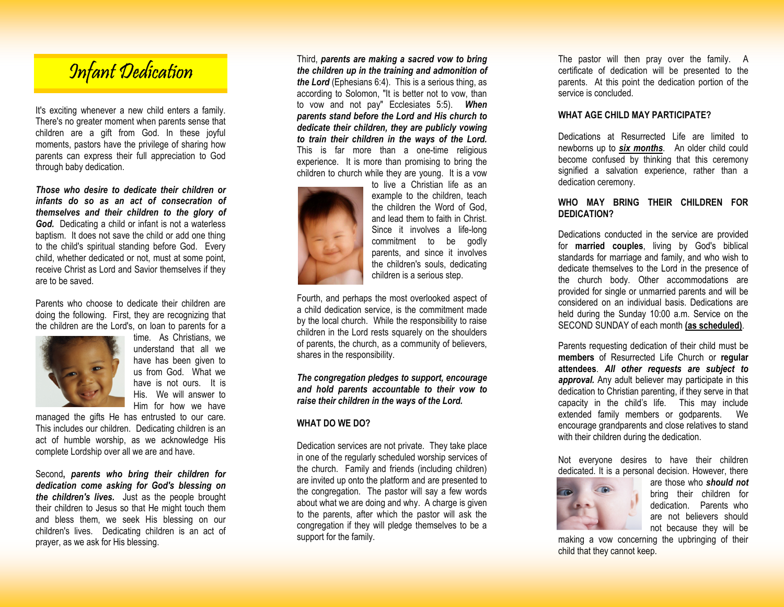# Infant Dedication

It's exciting whenever a new child enters a family. There's no greater moment when parents sense that children are a gift from God. In these joyful moments, pastors have the privilege of sharing how parents can express their full appreciation to God through baby dedication.

*Those who desire to dedicate their children or infants do so as an act of consecration of themselves and their children to the glory of God.* Dedicating a child or infant is not a waterless baptism. It does not save the child or add one thing to the child's spiritual standing before God. Every child, whether dedicated or not, must at some point, receive Christ as Lord and Savior themselves if they are to be saved.

Parents who choose to dedicate their children are doing the following. First, they are recognizing that the children are the Lord's, on loan to parents for a



 time. As Christians, we understand that all we have has been given to us from God. What we have is not ours. It is His. We will answer to Him for how we have

 managed the gifts He has entrusted to our care. This includes our children. Dedicating children is an act of humble worship, as we acknowledge His complete Lordship over all we are and have.

Second**,** *parents who bring their children for dedication come asking for God's blessing on the children's lives.* Just as the people brought their children to Jesus so that He might touch them and bless them, we seek His blessing on our children's lives. Dedicating children is an act ofprayer, as we ask for His blessing.

Third, *parents are making a sacred vow to bring the children up in the training and admonition of the Lord* (Ephesians 6:4). This is a serious thing, as according to Solomon, "It is better not to vow, than to vow and not pay" Ecclesiates 5:5). *When parents stand before the Lord and His church to dedicate their children, they are publicly vowing to train their children in the ways of the Lord.*  This is far more than a one-time religious experience. It is more than promising to bring thechildren to church while they are young. It is a vow



 to live a Christian life as an example to the children, teach the children the Word of God, and lead them to faith in Christ. Since it involves a life-long commitment to be godly parents, and since it involves the children's souls, dedicating children is a serious step.

Fourth, and perhaps the most overlooked aspect of a child dedication service, is the commitment made by the local church. While the responsibility to raise children in the Lord rests squarely on the shoulders of parents, the church, as a community of believers, shares in the responsibility.

*The congregation pledges to support, encourage and hold parents accountable to their vow to raise their children in the ways of the Lord.* 

## **WHAT DO WE DO?**

Dedication services are not private. They take place in one of the regularly scheduled worship services of the church. Family and friends (including children) are invited up onto the platform and are presented to the congregation. The pastor will say a few words about what we are doing and why. A charge is given to the parents, after which the pastor will ask the congregation if they will pledge themselves to be asupport for the family.

The pastor will then pray over the family. A certificate of dedication will be presented to the parents. At this point the dedication portion of the service is concluded.

#### **WHAT AGE CHILD MAY PARTICIPATE?**

Dedications at Resurrected Life are limited to newborns up to *six months*. An older child could become confused by thinking that this ceremony signified a salvation experience, rather than a dedication ceremony.

# **WHO MAY BRING THEIR CHILDREN FOR DEDICATION?**

Dedications conducted in the service are provided for **married couples**, living by God's biblical standards for marriage and family, and who wish to dedicate themselves to the Lord in the presence of the church body. Other accommodations are provided for single or unmarried parents and will be considered on an individual basis. Dedications are held during the Sunday 10:00 a.m. Service on the SECOND SUNDAY of each month **(as scheduled)**.

Parents requesting dedication of their child must be **members** of Resurrected Life Church or **regular attendees**. *All other requests are subject to approval.* Any adult believer may participate in this dedication to Christian parenting, if they serve in that capacity in the child's life. This may include extended family members or godparents. encourage grandparents and close relatives to standwith their children during the dedication.

Not everyone desires to have their children dedicated. It is a personal decision. However, there



 are those who *should not* bring their children for dedication. Parents who are not believers should not because they will be

 making a vow concerning the upbringing of their child that they cannot keep.